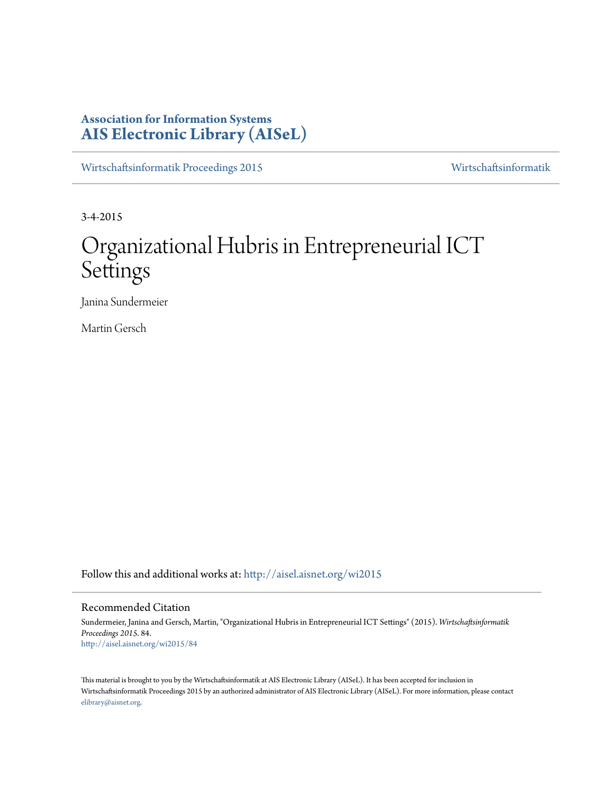# **Association for Information Systems [AIS Electronic Library \(AISeL\)](http://aisel.aisnet.org?utm_source=aisel.aisnet.org%2Fwi2015%2F84&utm_medium=PDF&utm_campaign=PDFCoverPages)**

[Wirtschaftsinformatik Proceedings 2015](http://aisel.aisnet.org/wi2015?utm_source=aisel.aisnet.org%2Fwi2015%2F84&utm_medium=PDF&utm_campaign=PDFCoverPages) [Wirtschaftsinformatik](http://aisel.aisnet.org/wi?utm_source=aisel.aisnet.org%2Fwi2015%2F84&utm_medium=PDF&utm_campaign=PDFCoverPages)

3-4-2015

# Organizational Hubris in Entrepreneurial ICT Settings

Janina Sundermeier

Martin Gersch

Follow this and additional works at: [http://aisel.aisnet.org/wi2015](http://aisel.aisnet.org/wi2015?utm_source=aisel.aisnet.org%2Fwi2015%2F84&utm_medium=PDF&utm_campaign=PDFCoverPages)

#### Recommended Citation

Sundermeier, Janina and Gersch, Martin, "Organizational Hubris in Entrepreneurial ICT Settings" (2015). *Wirtschaftsinformatik Proceedings 2015*. 84. [http://aisel.aisnet.org/wi2015/84](http://aisel.aisnet.org/wi2015/84?utm_source=aisel.aisnet.org%2Fwi2015%2F84&utm_medium=PDF&utm_campaign=PDFCoverPages)

This material is brought to you by the Wirtschaftsinformatik at AIS Electronic Library (AISeL). It has been accepted for inclusion in Wirtschaftsinformatik Proceedings 2015 by an authorized administrator of AIS Electronic Library (AISeL). For more information, please contact [elibrary@aisnet.org.](mailto:elibrary@aisnet.org%3E)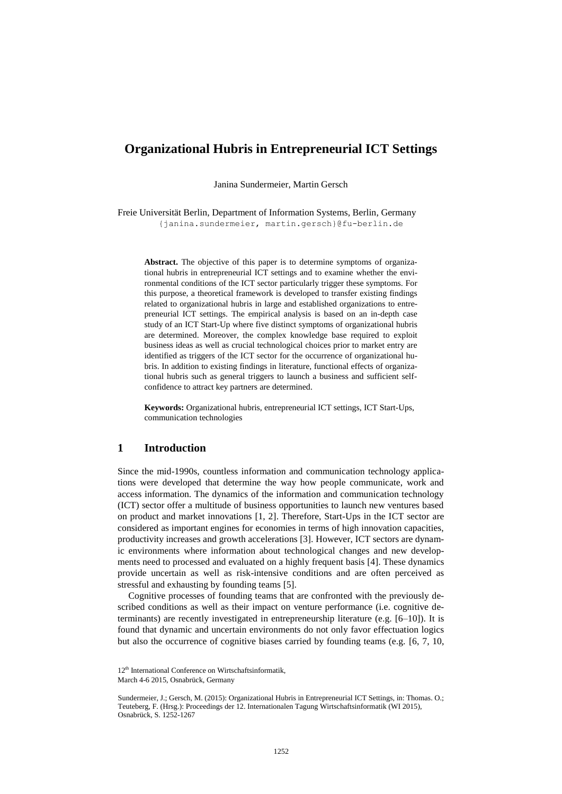# **Organizational Hubris in Entrepreneurial ICT Settings**

Janina Sundermeier, Martin Gersch

Freie Universität Berlin, Department of Information Systems, Berlin, Germany {janina.sundermeier, martin.gersch}@fu-berlin.de

**Abstract.** The objective of this paper is to determine symptoms of organizational hubris in entrepreneurial ICT settings and to examine whether the environmental conditions of the ICT sector particularly trigger these symptoms. For this purpose, a theoretical framework is developed to transfer existing findings related to organizational hubris in large and established organizations to entrepreneurial ICT settings. The empirical analysis is based on an in-depth case study of an ICT Start-Up where five distinct symptoms of organizational hubris are determined. Moreover, the complex knowledge base required to exploit business ideas as well as crucial technological choices prior to market entry are identified as triggers of the ICT sector for the occurrence of organizational hubris. In addition to existing findings in literature, functional effects of organizational hubris such as general triggers to launch a business and sufficient selfconfidence to attract key partners are determined.

**Keywords:** Organizational hubris, entrepreneurial ICT settings, ICT Start-Ups, communication technologies

#### **1 Introduction**

Since the mid-1990s, countless information and communication technology applications were developed that determine the way how people communicate, work and access information. The dynamics of the information and communication technology (ICT) sector offer a multitude of business opportunities to launch new ventures based on product and market innovations [1, 2]. Therefore, Start-Ups in the ICT sector are considered as important engines for economies in terms of high innovation capacities, productivity increases and growth accelerations [3]. However, ICT sectors are dynamic environments where information about technological changes and new developments need to processed and evaluated on a highly frequent basis [4]. These dynamics provide uncertain as well as risk-intensive conditions and are often perceived as stressful and exhausting by founding teams [5].

Cognitive processes of founding teams that are confronted with the previously described conditions as well as their impact on venture performance (i.e. cognitive determinants) are recently investigated in entrepreneurship literature (e.g. [6–10]). It is found that dynamic and uncertain environments do not only favor effectuation logics but also the occurrence of cognitive biases carried by founding teams (e.g. [6, 7, 10,

<sup>12&</sup>lt;sup>th</sup> International Conference on Wirtschaftsinformatik.

March 4-6 2015, Osnabrück, Germany

Sundermeier, J.; Gersch, M. (2015): Organizational Hubris in Entrepreneurial ICT Settings, in: Thomas. O.; Teuteberg, F. (Hrsg.): Proceedings der 12. Internationalen Tagung Wirtschaftsinformatik (WI 2015), Osnabrück, S. 1252-1267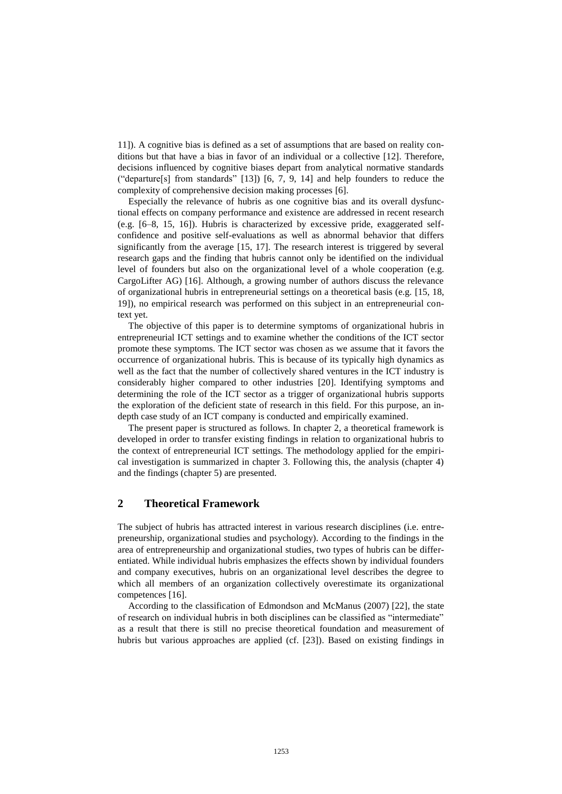11]). A cognitive bias is defined as a set of assumptions that are based on reality conditions but that have a bias in favor of an individual or a collective [12]. Therefore, decisions influenced by cognitive biases depart from analytical normative standards ("departure[s] from standards" [13]) [6, 7, 9, 14] and help founders to reduce the complexity of comprehensive decision making processes [6].

Especially the relevance of hubris as one cognitive bias and its overall dysfunctional effects on company performance and existence are addressed in recent research (e.g. [6–8, 15, 16]). Hubris is characterized by excessive pride, exaggerated selfconfidence and positive self-evaluations as well as abnormal behavior that differs significantly from the average [15, 17]. The research interest is triggered by several research gaps and the finding that hubris cannot only be identified on the individual level of founders but also on the organizational level of a whole cooperation (e.g. CargoLifter AG) [16]. Although, a growing number of authors discuss the relevance of organizational hubris in entrepreneurial settings on a theoretical basis (e.g. [15, 18, 19]), no empirical research was performed on this subject in an entrepreneurial context yet.

The objective of this paper is to determine symptoms of organizational hubris in entrepreneurial ICT settings and to examine whether the conditions of the ICT sector promote these symptoms. The ICT sector was chosen as we assume that it favors the occurrence of organizational hubris. This is because of its typically high dynamics as well as the fact that the number of collectively shared ventures in the ICT industry is considerably higher compared to other industries [20]. Identifying symptoms and determining the role of the ICT sector as a trigger of organizational hubris supports the exploration of the deficient state of research in this field. For this purpose, an indepth case study of an ICT company is conducted and empirically examined.

The present paper is structured as follows. In chapter 2, a theoretical framework is developed in order to transfer existing findings in relation to organizational hubris to the context of entrepreneurial ICT settings. The methodology applied for the empirical investigation is summarized in chapter 3. Following this, the analysis (chapter 4) and the findings (chapter 5) are presented.

# **2 Theoretical Framework**

The subject of hubris has attracted interest in various research disciplines (i.e. entrepreneurship, organizational studies and psychology). According to the findings in the area of entrepreneurship and organizational studies, two types of hubris can be differentiated. While individual hubris emphasizes the effects shown by individual founders and company executives, hubris on an organizational level describes the degree to which all members of an organization collectively overestimate its organizational competences [16].

According to the classification of Edmondson and McManus (2007) [22], the state of research on individual hubris in both disciplines can be classified as "intermediate" as a result that there is still no precise theoretical foundation and measurement of hubris but various approaches are applied (cf. [23]). Based on existing findings in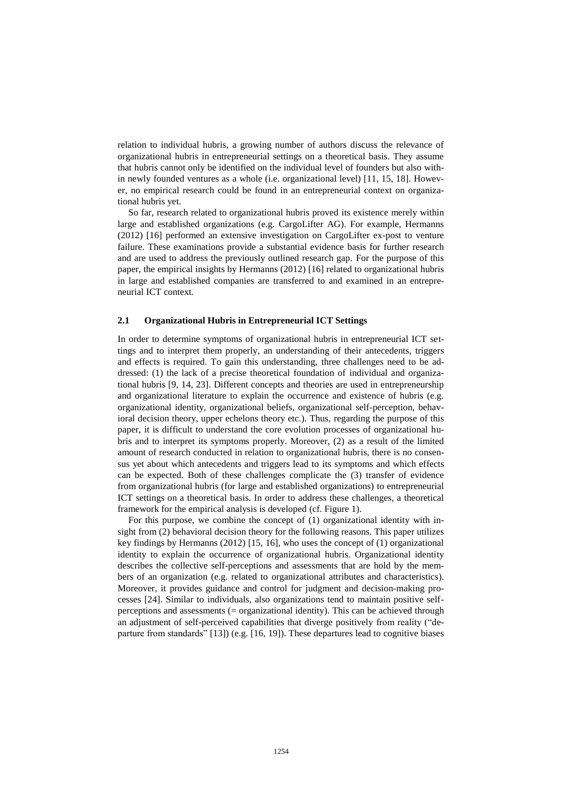relation to individual hubris, a growing number of authors discuss the relevance of organizational hubris in entrepreneurial settings on a theoretical basis. They assume that hubris cannot only be identified on the individual level of founders but also within newly founded ventures as a whole (i.e. organizational level) [11, 15, 18]. However, no empirical research could be found in an entrepreneurial context on organizational hubris yet.

So far, research related to organizational hubris proved its existence merely within large and established organizations (e.g. CargoLifter AG). For example, Hermanns (2012) [16] performed an extensive investigation on CargoLifter ex-post to venture failure. These examinations provide a substantial evidence basis for further research and are used to address the previously outlined research gap. For the purpose of this paper, the empirical insights by Hermanns (2012) [16] related to organizational hubris in large and established companies are transferred to and examined in an entrepreneurial ICT context.

#### **2.1 Organizational Hubris in Entrepreneurial ICT Settings**

In order to determine symptoms of organizational hubris in entrepreneurial ICT settings and to interpret them properly, an understanding of their antecedents, triggers and effects is required. To gain this understanding, three challenges need to be addressed: (1) the lack of a precise theoretical foundation of individual and organizational hubris [9, 14, 23]. Different concepts and theories are used in entrepreneurship and organizational literature to explain the occurrence and existence of hubris (e.g. organizational identity, organizational beliefs, organizational self-perception, behavioral decision theory, upper echelons theory etc.). Thus, regarding the purpose of this paper, it is difficult to understand the core evolution processes of organizational hubris and to interpret its symptoms properly. Moreover, (2) as a result of the limited amount of research conducted in relation to organizational hubris, there is no consensus yet about which antecedents and triggers lead to its symptoms and which effects can be expected. Both of these challenges complicate the (3) transfer of evidence from organizational hubris (for large and established organizations) to entrepreneurial ICT settings on a theoretical basis. In order to address these challenges, a theoretical framework for the empirical analysis is developed (cf. Figure 1).

For this purpose, we combine the concept of (1) organizational identity with insight from (2) behavioral decision theory for the following reasons. This paper utilizes key findings by Hermanns (2012) [15, 16], who uses the concept of (1) organizational identity to explain the occurrence of organizational hubris. Organizational identity describes the collective self-perceptions and assessments that are hold by the members of an organization (e.g. related to organizational attributes and characteristics). Moreover, it provides guidance and control for judgment and decision-making processes [24]. Similar to individuals, also organizations tend to maintain positive selfperceptions and assessments (= organizational identity). This can be achieved through an adjustment of self-perceived capabilities that diverge positively from reality ("departure from standards" [13]) (e.g. [16, 19]). These departures lead to cognitive biases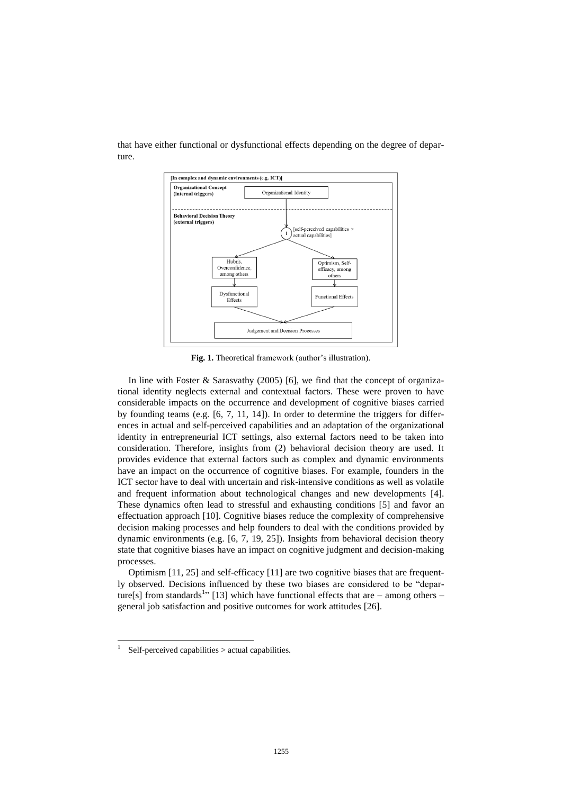

that have either functional or dysfunctional effects depending on the degree of departure.

**Fig. 1.** Theoretical framework (author's illustration).

In line with Foster  $\&$  Sarasvathy (2005) [6], we find that the concept of organizational identity neglects external and contextual factors. These were proven to have considerable impacts on the occurrence and development of cognitive biases carried by founding teams (e.g. [6, 7, 11, 14]). In order to determine the triggers for differences in actual and self-perceived capabilities and an adaptation of the organizational identity in entrepreneurial ICT settings, also external factors need to be taken into consideration. Therefore, insights from (2) behavioral decision theory are used. It provides evidence that external factors such as complex and dynamic environments have an impact on the occurrence of cognitive biases. For example, founders in the ICT sector have to deal with uncertain and risk-intensive conditions as well as volatile and frequent information about technological changes and new developments [4]. These dynamics often lead to stressful and exhausting conditions [5] and favor an effectuation approach [10]. Cognitive biases reduce the complexity of comprehensive decision making processes and help founders to deal with the conditions provided by dynamic environments (e.g. [6, 7, 19, 25]). Insights from behavioral decision theory state that cognitive biases have an impact on cognitive judgment and decision-making processes.

Optimism [11, 25] and self-efficacy [11] are two cognitive biases that are frequently observed. Decisions influenced by these two biases are considered to be "departure[s] from standards<sup>1</sup><sup>2</sup> [13] which have functional effects that are – among others – general job satisfaction and positive outcomes for work attitudes [26].

 $\overline{\phantom{a}}$ 

<sup>1</sup> Self-perceived capabilities > actual capabilities.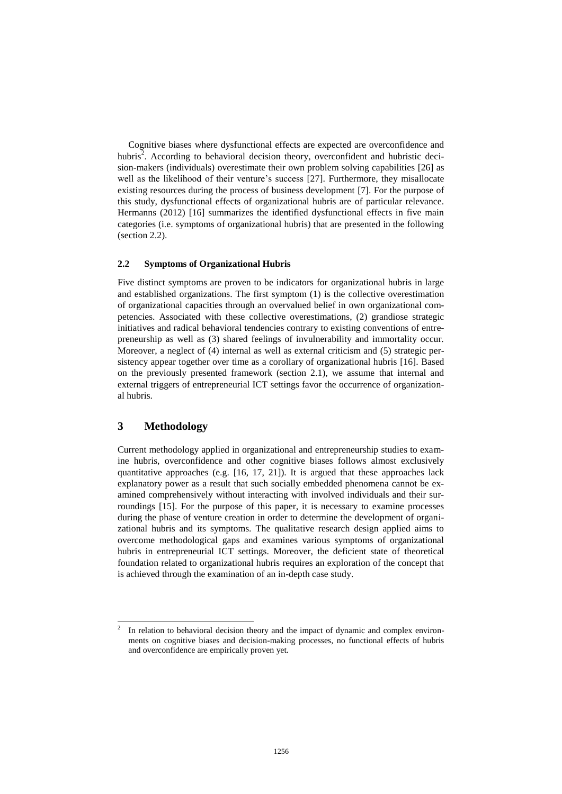Cognitive biases where dysfunctional effects are expected are overconfidence and hubris<sup>2</sup>. According to behavioral decision theory, overconfident and hubristic decision-makers (individuals) overestimate their own problem solving capabilities [26] as well as the likelihood of their venture's success [27]. Furthermore, they misallocate existing resources during the process of business development [7]. For the purpose of this study, dysfunctional effects of organizational hubris are of particular relevance. Hermanns (2012) [16] summarizes the identified dysfunctional effects in five main categories (i.e. symptoms of organizational hubris) that are presented in the following (section 2.2).

#### **2.2 Symptoms of Organizational Hubris**

Five distinct symptoms are proven to be indicators for organizational hubris in large and established organizations. The first symptom (1) is the collective overestimation of organizational capacities through an overvalued belief in own organizational competencies. Associated with these collective overestimations, (2) grandiose strategic initiatives and radical behavioral tendencies contrary to existing conventions of entrepreneurship as well as (3) shared feelings of invulnerability and immortality occur. Moreover, a neglect of (4) internal as well as external criticism and (5) strategic persistency appear together over time as a corollary of organizational hubris [16]. Based on the previously presented framework (section 2.1), we assume that internal and external triggers of entrepreneurial ICT settings favor the occurrence of organizational hubris.

# **3 Methodology**

Current methodology applied in organizational and entrepreneurship studies to examine hubris, overconfidence and other cognitive biases follows almost exclusively quantitative approaches (e.g. [16, 17, 21]). It is argued that these approaches lack explanatory power as a result that such socially embedded phenomena cannot be examined comprehensively without interacting with involved individuals and their surroundings [15]. For the purpose of this paper, it is necessary to examine processes during the phase of venture creation in order to determine the development of organizational hubris and its symptoms. The qualitative research design applied aims to overcome methodological gaps and examines various symptoms of organizational hubris in entrepreneurial ICT settings. Moreover, the deficient state of theoretical foundation related to organizational hubris requires an exploration of the concept that is achieved through the examination of an in-depth case study.

 $\frac{1}{2}$ In relation to behavioral decision theory and the impact of dynamic and complex environments on cognitive biases and decision-making processes, no functional effects of hubris and overconfidence are empirically proven yet.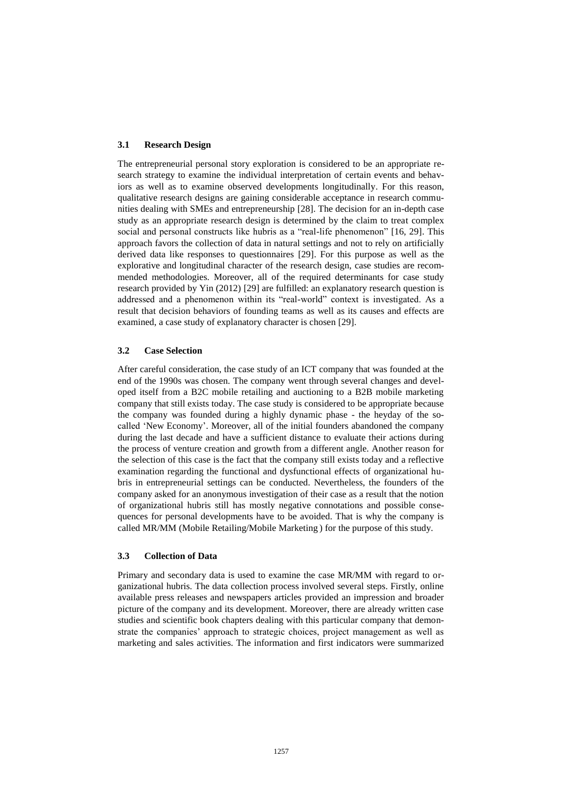#### **3.1 Research Design**

The entrepreneurial personal story exploration is considered to be an appropriate research strategy to examine the individual interpretation of certain events and behaviors as well as to examine observed developments longitudinally. For this reason, qualitative research designs are gaining considerable acceptance in research communities dealing with SMEs and entrepreneurship [28]. The decision for an in-depth case study as an appropriate research design is determined by the claim to treat complex social and personal constructs like hubris as a "real-life phenomenon" [16, 29]. This approach favors the collection of data in natural settings and not to rely on artificially derived data like responses to questionnaires [29]. For this purpose as well as the explorative and longitudinal character of the research design, case studies are recommended methodologies. Moreover, all of the required determinants for case study research provided by Yin (2012) [29] are fulfilled: an explanatory research question is addressed and a phenomenon within its "real-world" context is investigated. As a result that decision behaviors of founding teams as well as its causes and effects are examined, a case study of explanatory character is chosen [29].

#### **3.2 Case Selection**

After careful consideration, the case study of an ICT company that was founded at the end of the 1990s was chosen. The company went through several changes and developed itself from a B2C mobile retailing and auctioning to a B2B mobile marketing company that still exists today. The case study is considered to be appropriate because the company was founded during a highly dynamic phase - the heyday of the socalled 'New Economy'. Moreover, all of the initial founders abandoned the company during the last decade and have a sufficient distance to evaluate their actions during the process of venture creation and growth from a different angle. Another reason for the selection of this case is the fact that the company still exists today and a reflective examination regarding the functional and dysfunctional effects of organizational hubris in entrepreneurial settings can be conducted. Nevertheless, the founders of the company asked for an anonymous investigation of their case as a result that the notion of organizational hubris still has mostly negative connotations and possible consequences for personal developments have to be avoided. That is why the company is called MR/MM (Mobile Retailing/Mobile Marketing ) for the purpose of this study.

#### **3.3 Collection of Data**

Primary and secondary data is used to examine the case MR/MM with regard to organizational hubris. The data collection process involved several steps. Firstly, online available press releases and newspapers articles provided an impression and broader picture of the company and its development. Moreover, there are already written case studies and scientific book chapters dealing with this particular company that demonstrate the companies' approach to strategic choices, project management as well as marketing and sales activities. The information and first indicators were summarized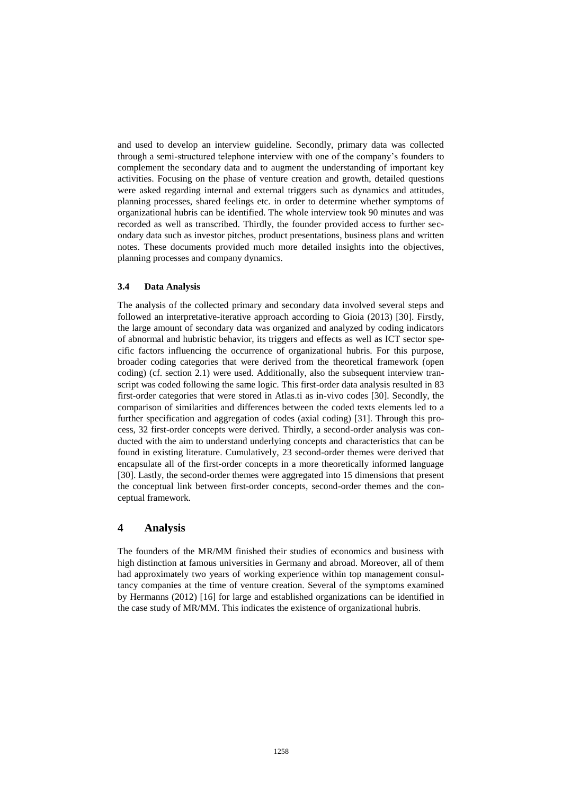and used to develop an interview guideline. Secondly, primary data was collected through a semi-structured telephone interview with one of the company's founders to complement the secondary data and to augment the understanding of important key activities. Focusing on the phase of venture creation and growth, detailed questions were asked regarding internal and external triggers such as dynamics and attitudes, planning processes, shared feelings etc. in order to determine whether symptoms of organizational hubris can be identified. The whole interview took 90 minutes and was recorded as well as transcribed. Thirdly, the founder provided access to further secondary data such as investor pitches, product presentations, business plans and written notes. These documents provided much more detailed insights into the objectives, planning processes and company dynamics.

#### **3.4 Data Analysis**

The analysis of the collected primary and secondary data involved several steps and followed an interpretative-iterative approach according to Gioia (2013) [30]. Firstly, the large amount of secondary data was organized and analyzed by coding indicators of abnormal and hubristic behavior, its triggers and effects as well as ICT sector specific factors influencing the occurrence of organizational hubris. For this purpose, broader coding categories that were derived from the theoretical framework (open coding) (cf. section 2.1) were used. Additionally, also the subsequent interview transcript was coded following the same logic. This first-order data analysis resulted in 83 first-order categories that were stored in Atlas.ti as in-vivo codes [30]. Secondly, the comparison of similarities and differences between the coded texts elements led to a further specification and aggregation of codes (axial coding) [31]. Through this process, 32 first-order concepts were derived. Thirdly, a second-order analysis was conducted with the aim to understand underlying concepts and characteristics that can be found in existing literature. Cumulatively, 23 second-order themes were derived that encapsulate all of the first-order concepts in a more theoretically informed language [30]. Lastly, the second-order themes were aggregated into 15 dimensions that present the conceptual link between first-order concepts, second-order themes and the conceptual framework.

### **4 Analysis**

The founders of the MR/MM finished their studies of economics and business with high distinction at famous universities in Germany and abroad. Moreover, all of them had approximately two years of working experience within top management consultancy companies at the time of venture creation. Several of the symptoms examined by Hermanns (2012) [16] for large and established organizations can be identified in the case study of MR/MM. This indicates the existence of organizational hubris.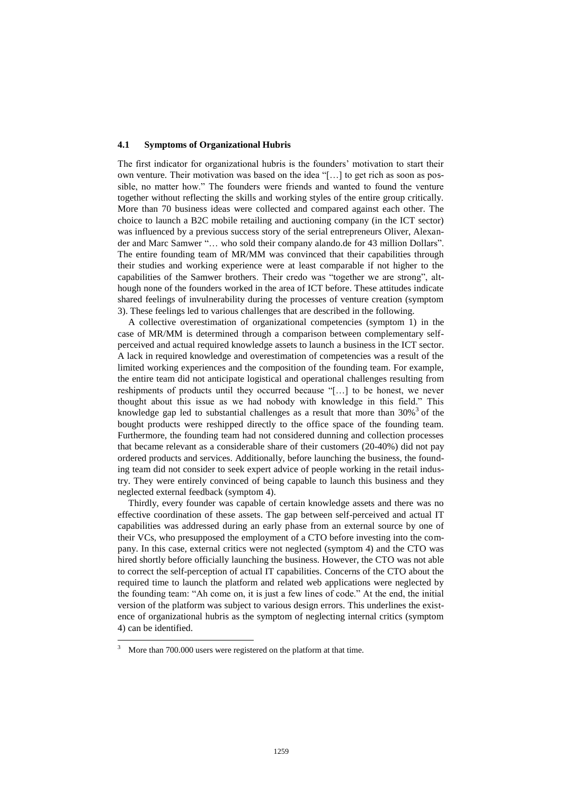#### **4.1 Symptoms of Organizational Hubris**

The first indicator for organizational hubris is the founders' motivation to start their own venture. Their motivation was based on the idea "[…] to get rich as soon as possible, no matter how." The founders were friends and wanted to found the venture together without reflecting the skills and working styles of the entire group critically. More than 70 business ideas were collected and compared against each other. The choice to launch a B2C mobile retailing and auctioning company (in the ICT sector) was influenced by a previous success story of the serial entrepreneurs Oliver, Alexander and Marc Samwer "… who sold their company alando.de for 43 million Dollars". The entire founding team of MR/MM was convinced that their capabilities through their studies and working experience were at least comparable if not higher to the capabilities of the Samwer brothers. Their credo was "together we are strong", although none of the founders worked in the area of ICT before. These attitudes indicate shared feelings of invulnerability during the processes of venture creation (symptom 3). These feelings led to various challenges that are described in the following.

A collective overestimation of organizational competencies (symptom 1) in the case of MR/MM is determined through a comparison between complementary selfperceived and actual required knowledge assets to launch a business in the ICT sector. A lack in required knowledge and overestimation of competencies was a result of the limited working experiences and the composition of the founding team. For example, the entire team did not anticipate logistical and operational challenges resulting from reshipments of products until they occurred because "[…] to be honest, we never thought about this issue as we had nobody with knowledge in this field." This knowledge gap led to substantial challenges as a result that more than  $30\%$ <sup>3</sup> of the bought products were reshipped directly to the office space of the founding team. Furthermore, the founding team had not considered dunning and collection processes that became relevant as a considerable share of their customers (20-40%) did not pay ordered products and services. Additionally, before launching the business, the founding team did not consider to seek expert advice of people working in the retail industry. They were entirely convinced of being capable to launch this business and they neglected external feedback (symptom 4).

Thirdly, every founder was capable of certain knowledge assets and there was no effective coordination of these assets. The gap between self-perceived and actual IT capabilities was addressed during an early phase from an external source by one of their VCs, who presupposed the employment of a CTO before investing into the company. In this case, external critics were not neglected (symptom 4) and the CTO was hired shortly before officially launching the business. However, the CTO was not able to correct the self-perception of actual IT capabilities. Concerns of the CTO about the required time to launch the platform and related web applications were neglected by the founding team: "Ah come on, it is just a few lines of code." At the end, the initial version of the platform was subject to various design errors. This underlines the existence of organizational hubris as the symptom of neglecting internal critics (symptom 4) can be identified.

 $\overline{\phantom{a}}$ 

<sup>&</sup>lt;sup>3</sup> More than 700.000 users were registered on the platform at that time.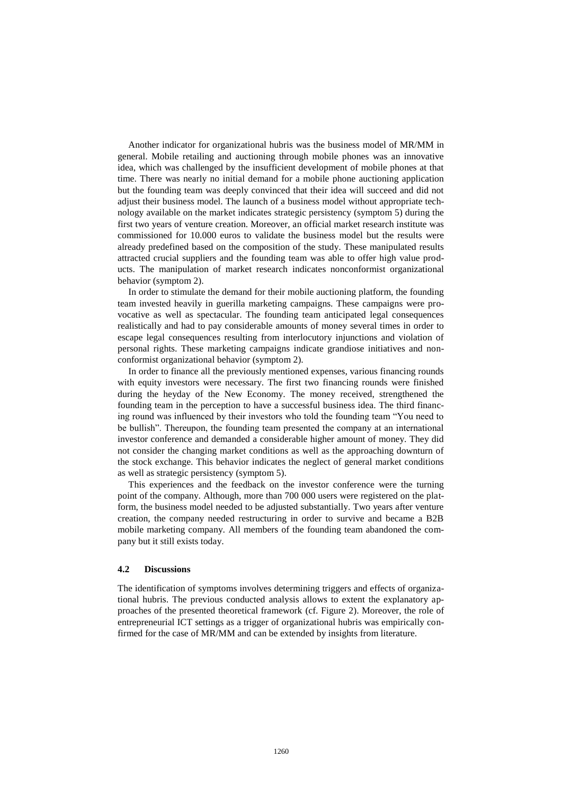Another indicator for organizational hubris was the business model of MR/MM in general. Mobile retailing and auctioning through mobile phones was an innovative idea, which was challenged by the insufficient development of mobile phones at that time. There was nearly no initial demand for a mobile phone auctioning application but the founding team was deeply convinced that their idea will succeed and did not adjust their business model. The launch of a business model without appropriate technology available on the market indicates strategic persistency (symptom 5) during the first two years of venture creation. Moreover, an official market research institute was commissioned for 10.000 euros to validate the business model but the results were already predefined based on the composition of the study. These manipulated results attracted crucial suppliers and the founding team was able to offer high value products. The manipulation of market research indicates nonconformist organizational behavior (symptom 2).

In order to stimulate the demand for their mobile auctioning platform, the founding team invested heavily in guerilla marketing campaigns. These campaigns were provocative as well as spectacular. The founding team anticipated legal consequences realistically and had to pay considerable amounts of money several times in order to escape legal consequences resulting from interlocutory injunctions and violation of personal rights. These marketing campaigns indicate grandiose initiatives and nonconformist organizational behavior (symptom 2).

In order to finance all the previously mentioned expenses, various financing rounds with equity investors were necessary. The first two financing rounds were finished during the heyday of the New Economy. The money received, strengthened the founding team in the perception to have a successful business idea. The third financing round was influenced by their investors who told the founding team "You need to be bullish". Thereupon, the founding team presented the company at an international investor conference and demanded a considerable higher amount of money. They did not consider the changing market conditions as well as the approaching downturn of the stock exchange. This behavior indicates the neglect of general market conditions as well as strategic persistency (symptom 5).

This experiences and the feedback on the investor conference were the turning point of the company. Although, more than 700 000 users were registered on the platform, the business model needed to be adjusted substantially. Two years after venture creation, the company needed restructuring in order to survive and became a B2B mobile marketing company. All members of the founding team abandoned the company but it still exists today.

#### **4.2 Discussions**

The identification of symptoms involves determining triggers and effects of organizational hubris. The previous conducted analysis allows to extent the explanatory approaches of the presented theoretical framework (cf. Figure 2). Moreover, the role of entrepreneurial ICT settings as a trigger of organizational hubris was empirically confirmed for the case of MR/MM and can be extended by insights from literature.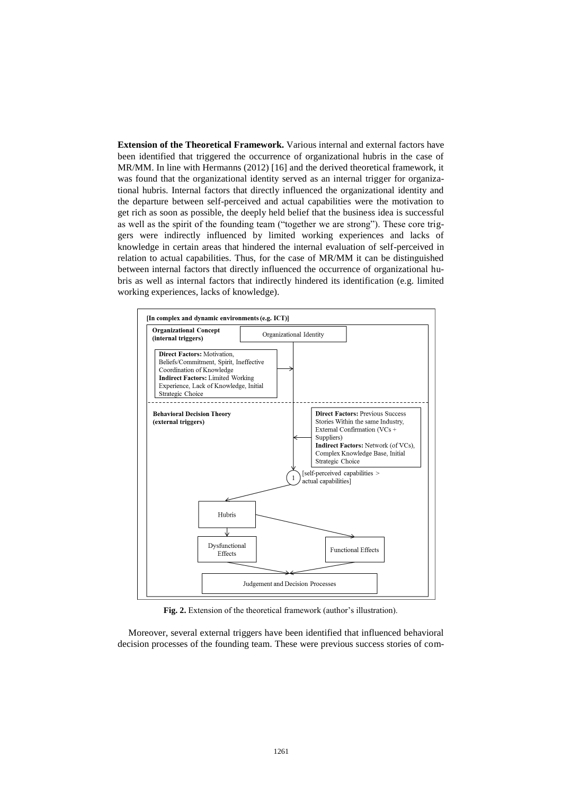**Extension of the Theoretical Framework.** Various internal and external factors have been identified that triggered the occurrence of organizational hubris in the case of MR/MM. In line with Hermanns (2012) [16] and the derived theoretical framework, it was found that the organizational identity served as an internal trigger for organizational hubris. Internal factors that directly influenced the organizational identity and the departure between self-perceived and actual capabilities were the motivation to get rich as soon as possible, the deeply held belief that the business idea is successful as well as the spirit of the founding team ("together we are strong"). These core triggers were indirectly influenced by limited working experiences and lacks of knowledge in certain areas that hindered the internal evaluation of self-perceived in relation to actual capabilities. Thus, for the case of MR/MM it can be distinguished between internal factors that directly influenced the occurrence of organizational hubris as well as internal factors that indirectly hindered its identification (e.g. limited working experiences, lacks of knowledge).



**Fig. 2.** Extension of the theoretical framework (author's illustration).

Moreover, several external triggers have been identified that influenced behavioral decision processes of the founding team. These were previous success stories of com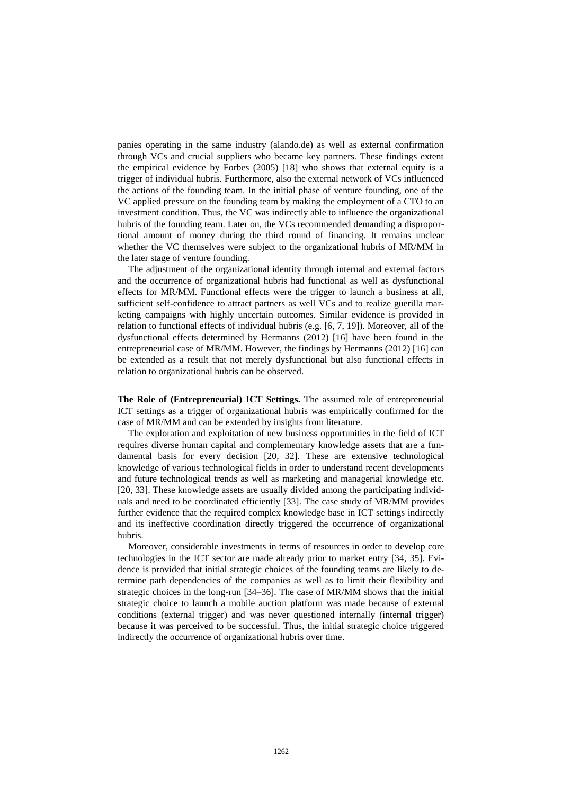panies operating in the same industry (alando.de) as well as external confirmation through VCs and crucial suppliers who became key partners. These findings extent the empirical evidence by Forbes (2005) [18] who shows that external equity is a trigger of individual hubris. Furthermore, also the external network of VCs influenced the actions of the founding team. In the initial phase of venture founding, one of the VC applied pressure on the founding team by making the employment of a CTO to an investment condition. Thus, the VC was indirectly able to influence the organizational hubris of the founding team. Later on, the VCs recommended demanding a disproportional amount of money during the third round of financing. It remains unclear whether the VC themselves were subject to the organizational hubris of MR/MM in the later stage of venture founding.

The adjustment of the organizational identity through internal and external factors and the occurrence of organizational hubris had functional as well as dysfunctional effects for MR/MM. Functional effects were the trigger to launch a business at all, sufficient self-confidence to attract partners as well VCs and to realize guerilla marketing campaigns with highly uncertain outcomes. Similar evidence is provided in relation to functional effects of individual hubris (e.g. [6, 7, 19]). Moreover, all of the dysfunctional effects determined by Hermanns (2012) [16] have been found in the entrepreneurial case of MR/MM. However, the findings by Hermanns (2012) [16] can be extended as a result that not merely dysfunctional but also functional effects in relation to organizational hubris can be observed.

**The Role of (Entrepreneurial) ICT Settings.** The assumed role of entrepreneurial ICT settings as a trigger of organizational hubris was empirically confirmed for the case of MR/MM and can be extended by insights from literature.

The exploration and exploitation of new business opportunities in the field of ICT requires diverse human capital and complementary knowledge assets that are a fundamental basis for every decision [20, 32]. These are extensive technological knowledge of various technological fields in order to understand recent developments and future technological trends as well as marketing and managerial knowledge etc. [20, 33]. These knowledge assets are usually divided among the participating individuals and need to be coordinated efficiently [33]. The case study of MR/MM provides further evidence that the required complex knowledge base in ICT settings indirectly and its ineffective coordination directly triggered the occurrence of organizational hubris.

Moreover, considerable investments in terms of resources in order to develop core technologies in the ICT sector are made already prior to market entry [34, 35]. Evidence is provided that initial strategic choices of the founding teams are likely to determine path dependencies of the companies as well as to limit their flexibility and strategic choices in the long-run [34–36]. The case of MR/MM shows that the initial strategic choice to launch a mobile auction platform was made because of external conditions (external trigger) and was never questioned internally (internal trigger) because it was perceived to be successful. Thus, the initial strategic choice triggered indirectly the occurrence of organizational hubris over time.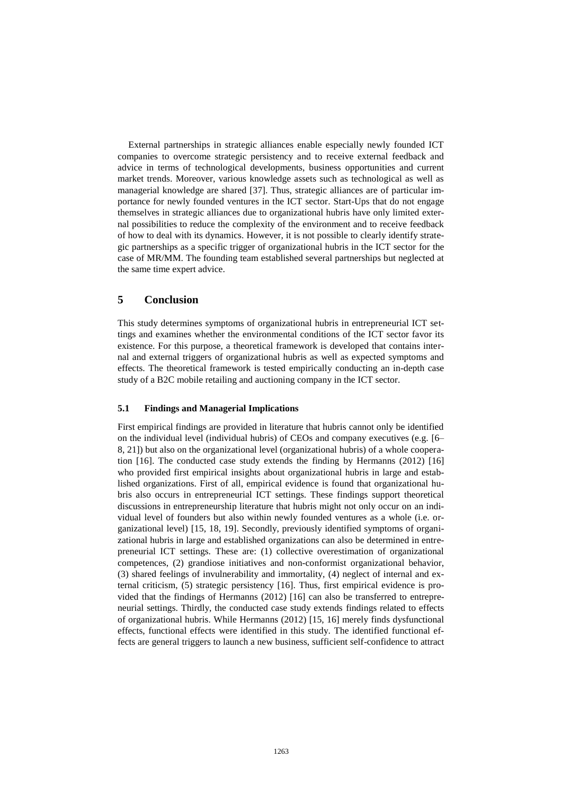External partnerships in strategic alliances enable especially newly founded ICT companies to overcome strategic persistency and to receive external feedback and advice in terms of technological developments, business opportunities and current market trends. Moreover, various knowledge assets such as technological as well as managerial knowledge are shared [37]. Thus, strategic alliances are of particular importance for newly founded ventures in the ICT sector. Start-Ups that do not engage themselves in strategic alliances due to organizational hubris have only limited external possibilities to reduce the complexity of the environment and to receive feedback of how to deal with its dynamics. However, it is not possible to clearly identify strategic partnerships as a specific trigger of organizational hubris in the ICT sector for the case of MR/MM. The founding team established several partnerships but neglected at the same time expert advice.

#### **5 Conclusion**

This study determines symptoms of organizational hubris in entrepreneurial ICT settings and examines whether the environmental conditions of the ICT sector favor its existence. For this purpose, a theoretical framework is developed that contains internal and external triggers of organizational hubris as well as expected symptoms and effects. The theoretical framework is tested empirically conducting an in-depth case study of a B2C mobile retailing and auctioning company in the ICT sector.

#### **5.1 Findings and Managerial Implications**

First empirical findings are provided in literature that hubris cannot only be identified on the individual level (individual hubris) of CEOs and company executives (e.g. [6– 8, 21]) but also on the organizational level (organizational hubris) of a whole cooperation [16]. The conducted case study extends the finding by Hermanns (2012) [16] who provided first empirical insights about organizational hubris in large and established organizations. First of all, empirical evidence is found that organizational hubris also occurs in entrepreneurial ICT settings. These findings support theoretical discussions in entrepreneurship literature that hubris might not only occur on an individual level of founders but also within newly founded ventures as a whole (i.e. organizational level) [15, 18, 19]. Secondly, previously identified symptoms of organizational hubris in large and established organizations can also be determined in entrepreneurial ICT settings. These are: (1) collective overestimation of organizational competences, (2) grandiose initiatives and non-conformist organizational behavior, (3) shared feelings of invulnerability and immortality, (4) neglect of internal and external criticism, (5) strategic persistency [16]. Thus, first empirical evidence is provided that the findings of Hermanns (2012) [16] can also be transferred to entrepreneurial settings. Thirdly, the conducted case study extends findings related to effects of organizational hubris. While Hermanns (2012) [15, 16] merely finds dysfunctional effects, functional effects were identified in this study. The identified functional effects are general triggers to launch a new business, sufficient self-confidence to attract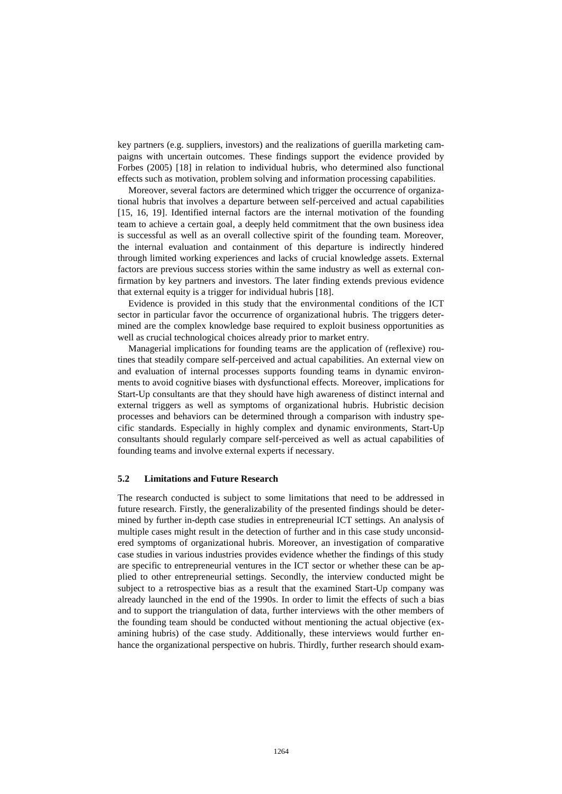key partners (e.g. suppliers, investors) and the realizations of guerilla marketing campaigns with uncertain outcomes. These findings support the evidence provided by Forbes (2005) [18] in relation to individual hubris, who determined also functional effects such as motivation, problem solving and information processing capabilities.

Moreover, several factors are determined which trigger the occurrence of organizational hubris that involves a departure between self-perceived and actual capabilities [15, 16, 19]. Identified internal factors are the internal motivation of the founding team to achieve a certain goal, a deeply held commitment that the own business idea is successful as well as an overall collective spirit of the founding team. Moreover, the internal evaluation and containment of this departure is indirectly hindered through limited working experiences and lacks of crucial knowledge assets. External factors are previous success stories within the same industry as well as external confirmation by key partners and investors. The later finding extends previous evidence that external equity is a trigger for individual hubris [18].

Evidence is provided in this study that the environmental conditions of the ICT sector in particular favor the occurrence of organizational hubris. The triggers determined are the complex knowledge base required to exploit business opportunities as well as crucial technological choices already prior to market entry.

Managerial implications for founding teams are the application of (reflexive) routines that steadily compare self-perceived and actual capabilities. An external view on and evaluation of internal processes supports founding teams in dynamic environments to avoid cognitive biases with dysfunctional effects. Moreover, implications for Start-Up consultants are that they should have high awareness of distinct internal and external triggers as well as symptoms of organizational hubris. Hubristic decision processes and behaviors can be determined through a comparison with industry specific standards. Especially in highly complex and dynamic environments, Start-Up consultants should regularly compare self-perceived as well as actual capabilities of founding teams and involve external experts if necessary.

#### **5.2 Limitations and Future Research**

The research conducted is subject to some limitations that need to be addressed in future research. Firstly, the generalizability of the presented findings should be determined by further in-depth case studies in entrepreneurial ICT settings. An analysis of multiple cases might result in the detection of further and in this case study unconsidered symptoms of organizational hubris. Moreover, an investigation of comparative case studies in various industries provides evidence whether the findings of this study are specific to entrepreneurial ventures in the ICT sector or whether these can be applied to other entrepreneurial settings. Secondly, the interview conducted might be subject to a retrospective bias as a result that the examined Start-Up company was already launched in the end of the 1990s. In order to limit the effects of such a bias and to support the triangulation of data, further interviews with the other members of the founding team should be conducted without mentioning the actual objective (examining hubris) of the case study. Additionally, these interviews would further enhance the organizational perspective on hubris. Thirdly, further research should exam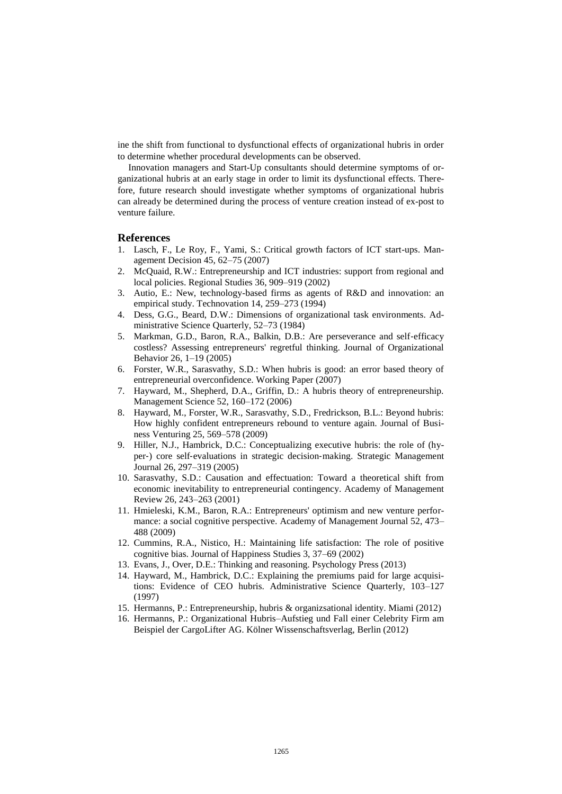ine the shift from functional to dysfunctional effects of organizational hubris in order to determine whether procedural developments can be observed.

Innovation managers and Start-Up consultants should determine symptoms of organizational hubris at an early stage in order to limit its dysfunctional effects. Therefore, future research should investigate whether symptoms of organizational hubris can already be determined during the process of venture creation instead of ex-post to venture failure.

#### **References**

- 1. Lasch, F., Le Roy, F., Yami, S.: Critical growth factors of ICT start-ups. Management Decision 45, 62–75 (2007)
- 2. McQuaid, R.W.: Entrepreneurship and ICT industries: support from regional and local policies. Regional Studies 36, 909–919 (2002)
- 3. Autio, E.: New, technology-based firms as agents of R&D and innovation: an empirical study. Technovation 14, 259–273 (1994)
- 4. Dess, G.G., Beard, D.W.: Dimensions of organizational task environments. Administrative Science Quarterly, 52–73 (1984)
- 5. Markman, G.D., Baron, R.A., Balkin, D.B.: Are perseverance and self‐efficacy costless? Assessing entrepreneurs' regretful thinking. Journal of Organizational Behavior 26, 1–19 (2005)
- 6. Forster, W.R., Sarasvathy, S.D.: When hubris is good: an error based theory of entrepreneurial overconfidence. Working Paper (2007)
- 7. Hayward, M., Shepherd, D.A., Griffin, D.: A hubris theory of entrepreneurship. Management Science 52, 160–172 (2006)
- 8. Hayward, M., Forster, W.R., Sarasvathy, S.D., Fredrickson, B.L.: Beyond hubris: How highly confident entrepreneurs rebound to venture again. Journal of Business Venturing 25, 569–578 (2009)
- 9. Hiller, N.J., Hambrick, D.C.: Conceptualizing executive hubris: the role of (hyper‐) core self‐evaluations in strategic decision‐making. Strategic Management Journal 26, 297–319 (2005)
- 10. Sarasvathy, S.D.: Causation and effectuation: Toward a theoretical shift from economic inevitability to entrepreneurial contingency. Academy of Management Review 26, 243–263 (2001)
- 11. Hmieleski, K.M., Baron, R.A.: Entrepreneurs' optimism and new venture performance: a social cognitive perspective. Academy of Management Journal 52, 473– 488 (2009)
- 12. Cummins, R.A., Nistico, H.: Maintaining life satisfaction: The role of positive cognitive bias. Journal of Happiness Studies 3, 37–69 (2002)
- 13. Evans, J., Over, D.E.: Thinking and reasoning. Psychology Press (2013)
- 14. Hayward, M., Hambrick, D.C.: Explaining the premiums paid for large acquisitions: Evidence of CEO hubris. Administrative Science Quarterly, 103–127 (1997)
- 15. Hermanns, P.: Entrepreneurship, hubris & organizsational identity. Miami (2012)
- 16. Hermanns, P.: Organizational Hubris–Aufstieg und Fall einer Celebrity Firm am Beispiel der CargoLifter AG. Kölner Wissenschaftsverlag, Berlin (2012)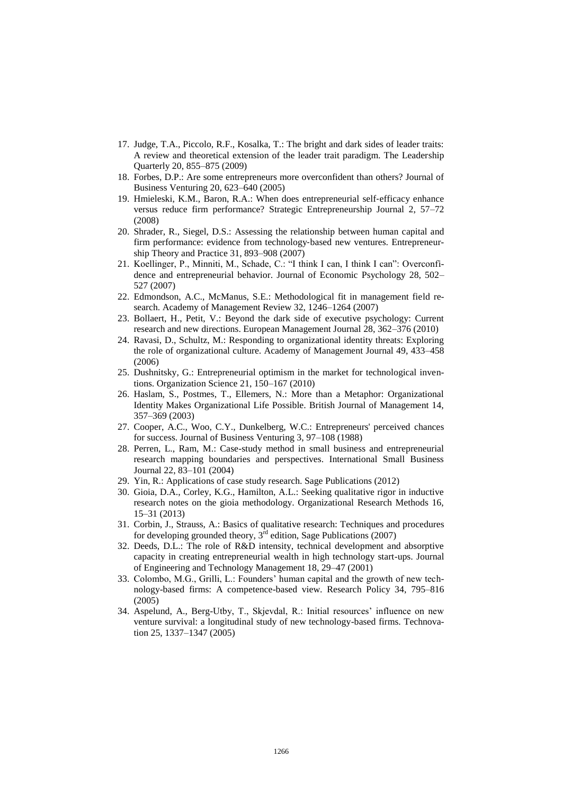- 17. Judge, T.A., Piccolo, R.F., Kosalka, T.: The bright and dark sides of leader traits: A review and theoretical extension of the leader trait paradigm. The Leadership Quarterly 20, 855–875 (2009)
- 18. Forbes, D.P.: Are some entrepreneurs more overconfident than others? Journal of Business Venturing 20, 623–640 (2005)
- 19. Hmieleski, K.M., Baron, R.A.: When does entrepreneurial self‐efficacy enhance versus reduce firm performance? Strategic Entrepreneurship Journal 2, 57–72 (2008)
- 20. Shrader, R., Siegel, D.S.: Assessing the relationship between human capital and firm performance: evidence from technology‐based new ventures. Entrepreneurship Theory and Practice 31, 893–908 (2007)
- 21. Koellinger, P., Minniti, M., Schade, C.: "I think I can, I think I can": Overconfidence and entrepreneurial behavior. Journal of Economic Psychology 28, 502– 527 (2007)
- 22. Edmondson, A.C., McManus, S.E.: Methodological fit in management field research. Academy of Management Review 32, 1246–1264 (2007)
- 23. Bollaert, H., Petit, V.: Beyond the dark side of executive psychology: Current research and new directions. European Management Journal 28, 362–376 (2010)
- 24. Ravasi, D., Schultz, M.: Responding to organizational identity threats: Exploring the role of organizational culture. Academy of Management Journal 49, 433–458 (2006)
- 25. Dushnitsky, G.: Entrepreneurial optimism in the market for technological inventions. Organization Science 21, 150–167 (2010)
- 26. Haslam, S., Postmes, T., Ellemers, N.: More than a Metaphor: Organizational Identity Makes Organizational Life Possible. British Journal of Management 14, 357–369 (2003)
- 27. Cooper, A.C., Woo, C.Y., Dunkelberg, W.C.: Entrepreneurs' perceived chances for success. Journal of Business Venturing 3, 97–108 (1988)
- 28. Perren, L., Ram, M.: Case-study method in small business and entrepreneurial research mapping boundaries and perspectives. International Small Business Journal 22, 83–101 (2004)
- 29. Yin, R.: Applications of case study research. Sage Publications (2012)
- 30. Gioia, D.A., Corley, K.G., Hamilton, A.L.: Seeking qualitative rigor in inductive research notes on the gioia methodology. Organizational Research Methods 16, 15–31 (2013)
- 31. Corbin, J., Strauss, A.: Basics of qualitative research: Techniques and procedures for developing grounded theory,  $3<sup>rd</sup>$  edition, Sage Publications (2007)
- 32. Deeds, D.L.: The role of R&D intensity, technical development and absorptive capacity in creating entrepreneurial wealth in high technology start-ups. Journal of Engineering and Technology Management 18, 29–47 (2001)
- 33. Colombo, M.G., Grilli, L.: Founders' human capital and the growth of new technology-based firms: A competence-based view. Research Policy 34, 795–816 (2005)
- 34. Aspelund, A., Berg-Utby, T., Skjevdal, R.: Initial resources' influence on new venture survival: a longitudinal study of new technology-based firms. Technovation 25, 1337–1347 (2005)